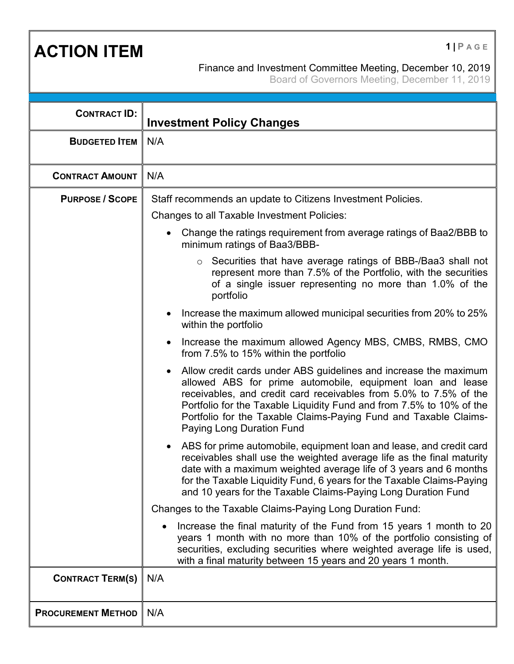**ACTION ITEM 1 PAGE** 

## Finance and Investment Committee Meeting, December 10, 2019

Board of Governors Meeting, December 11, 2019

| <b>CONTRACT ID:</b>       |                                                                                                                                                                                                                                                                                                                                                                                                  |
|---------------------------|--------------------------------------------------------------------------------------------------------------------------------------------------------------------------------------------------------------------------------------------------------------------------------------------------------------------------------------------------------------------------------------------------|
| <b>BUDGETED ITEM</b>      | <b>Investment Policy Changes</b><br>N/A                                                                                                                                                                                                                                                                                                                                                          |
|                           |                                                                                                                                                                                                                                                                                                                                                                                                  |
| <b>CONTRACT AMOUNT</b>    | N/A                                                                                                                                                                                                                                                                                                                                                                                              |
| <b>PURPOSE / SCOPE</b>    | Staff recommends an update to Citizens Investment Policies.                                                                                                                                                                                                                                                                                                                                      |
|                           | <b>Changes to all Taxable Investment Policies:</b>                                                                                                                                                                                                                                                                                                                                               |
|                           | Change the ratings requirement from average ratings of Baa2/BBB to<br>$\bullet$<br>minimum ratings of Baa3/BBB-                                                                                                                                                                                                                                                                                  |
|                           | Securities that have average ratings of BBB-/Baa3 shall not<br>$\circ$<br>represent more than 7.5% of the Portfolio, with the securities<br>of a single issuer representing no more than 1.0% of the<br>portfolio                                                                                                                                                                                |
|                           | Increase the maximum allowed municipal securities from 20% to 25%<br>within the portfolio                                                                                                                                                                                                                                                                                                        |
|                           | Increase the maximum allowed Agency MBS, CMBS, RMBS, CMO<br>from 7.5% to 15% within the portfolio                                                                                                                                                                                                                                                                                                |
|                           | Allow credit cards under ABS guidelines and increase the maximum<br>$\bullet$<br>allowed ABS for prime automobile, equipment loan and lease<br>receivables, and credit card receivables from 5.0% to 7.5% of the<br>Portfolio for the Taxable Liquidity Fund and from 7.5% to 10% of the<br>Portfolio for the Taxable Claims-Paying Fund and Taxable Claims-<br><b>Paying Long Duration Fund</b> |
|                           | ABS for prime automobile, equipment loan and lease, and credit card<br>$\bullet$<br>receivables shall use the weighted average life as the final maturity<br>date with a maximum weighted average life of 3 years and 6 months<br>for the Taxable Liquidity Fund, 6 years for the Taxable Claims-Paying<br>and 10 years for the Taxable Claims-Paying Long Duration Fund                         |
|                           | Changes to the Taxable Claims-Paying Long Duration Fund:                                                                                                                                                                                                                                                                                                                                         |
|                           | Increase the final maturity of the Fund from 15 years 1 month to 20<br>$\bullet$<br>years 1 month with no more than 10% of the portfolio consisting of<br>securities, excluding securities where weighted average life is used,<br>with a final maturity between 15 years and 20 years 1 month.                                                                                                  |
| <b>CONTRACT TERM(S)</b>   | N/A                                                                                                                                                                                                                                                                                                                                                                                              |
| <b>PROCUREMENT METHOD</b> | N/A                                                                                                                                                                                                                                                                                                                                                                                              |